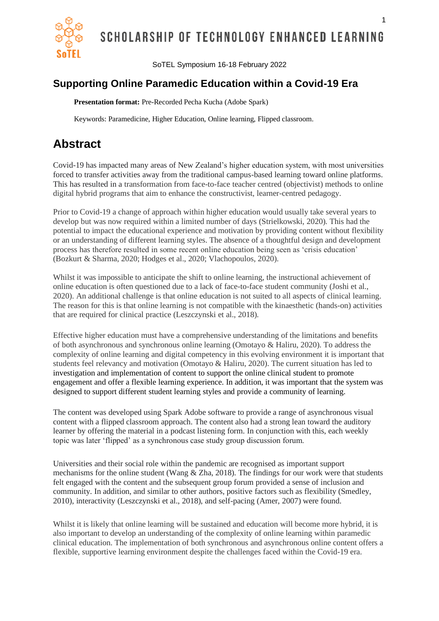

SCHOLARSHIP OF TECHNOLOGY ENHANCED LEARNING

SoTEL Symposium 16-18 February 2022

## **Supporting Online Paramedic Education within a Covid-19 Era**

**Presentation format:** Pre-Recorded Pecha Kucha (Adobe Spark)

Keywords: Paramedicine, Higher Education, Online learning, Flipped classroom.

## **Abstract**

Covid-19 has impacted many areas of New Zealand's higher education system, with most universities forced to transfer activities away from the traditional campus-based learning toward online platforms. This has resulted in a transformation from face-to-face teacher centred (objectivist) methods to online digital hybrid programs that aim to enhance the constructivist, learner-centred pedagogy.

Prior to Covid-19 a change of approach within higher education would usually take several years to develop but was now required within a limited number of days (Strielkowski, 2020). This had the potential to impact the educational experience and motivation by providing content without flexibility or an understanding of different learning styles. The absence of a thoughtful design and development process has therefore resulted in some recent online education being seen as 'crisis education' (Bozkurt & Sharma, 2020; Hodges et al., 2020; Vlachopoulos, 2020).

Whilst it was impossible to anticipate the shift to online learning, the instructional achievement of online education is often questioned due to a lack of face-to-face student community (Joshi et al., 2020). An additional challenge is that online education is not suited to all aspects of clinical learning. The reason for this is that online learning is not compatible with the kinaesthetic (hands-on) activities that are required for clinical practice (Leszczynski et al., 2018).

Effective higher education must have a comprehensive understanding of the limitations and benefits of both asynchronous and synchronous online learning (Omotayo & Haliru, 2020). To address the complexity of online learning and digital competency in this evolving environment it is important that students feel relevancy and motivation (Omotayo & Haliru, 2020). The current situation has led to investigation and implementation of content to support the online clinical student to promote engagement and offer a flexible learning experience. In addition, it was important that the system was designed to support different student learning styles and provide a community of learning.

The content was developed using Spark Adobe software to provide a range of asynchronous visual content with a flipped classroom approach. The content also had a strong lean toward the auditory learner by offering the material in a podcast listening form. In conjunction with this, each weekly topic was later 'flipped' as a synchronous case study group discussion forum.

Universities and their social role within the pandemic are recognised as important support mechanisms for the online student (Wang  $\&$  Zha, 2018). The findings for our work were that students felt engaged with the content and the subsequent group forum provided a sense of inclusion and community. In addition, and similar to other authors, positive factors such as flexibility (Smedley, 2010), interactivity (Leszczynski et al., 2018), and self-pacing (Amer, 2007) were found.

Whilst it is likely that online learning will be sustained and education will become more hybrid, it is also important to develop an understanding of the complexity of online learning within paramedic clinical education. The implementation of both synchronous and asynchronous online content offers a flexible, supportive learning environment despite the challenges faced within the Covid-19 era.